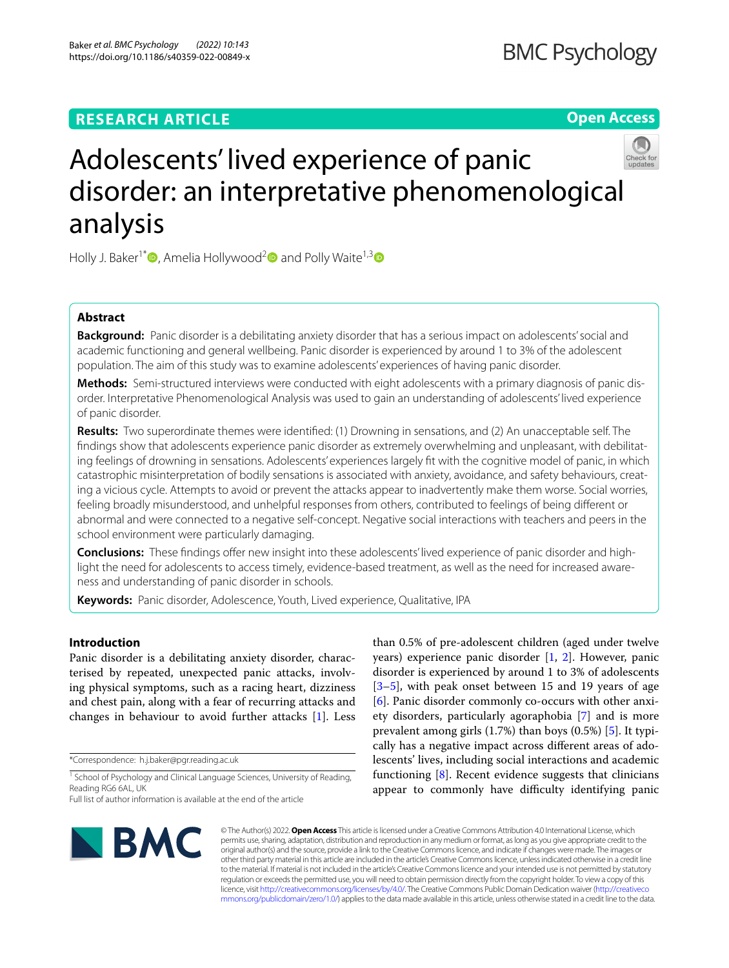# **RESEARCH ARTICLE**

# **Open Access**



# Adolescents' lived experience of panic disorder: an interpretative phenomenological analysis

Holly J. Baker<sup>1[\\*](http://orcid.org/0000-0003-3246-0856)</sup>  $\bullet$ , Amelia Hollywood<sup>2</sup> and Polly Waite<sup>1,3</sup>  $\bullet$ 

## **Abstract**

**Background:** Panic disorder is a debilitating anxiety disorder that has a serious impact on adolescents' social and academic functioning and general wellbeing. Panic disorder is experienced by around 1 to 3% of the adolescent population. The aim of this study was to examine adolescents' experiences of having panic disorder.

**Methods:** Semi-structured interviews were conducted with eight adolescents with a primary diagnosis of panic disorder. Interpretative Phenomenological Analysis was used to gain an understanding of adolescents' lived experience of panic disorder.

**Results:** Two superordinate themes were identifed: (1) Drowning in sensations, and (2) An unacceptable self. The fndings show that adolescents experience panic disorder as extremely overwhelming and unpleasant, with debilitating feelings of drowning in sensations. Adolescents' experiences largely ft with the cognitive model of panic, in which catastrophic misinterpretation of bodily sensations is associated with anxiety, avoidance, and safety behaviours, creating a vicious cycle. Attempts to avoid or prevent the attacks appear to inadvertently make them worse. Social worries, feeling broadly misunderstood, and unhelpful responses from others, contributed to feelings of being diferent or abnormal and were connected to a negative self-concept. Negative social interactions with teachers and peers in the school environment were particularly damaging.

**Conclusions:** These fndings ofer new insight into these adolescents' lived experience of panic disorder and highlight the need for adolescents to access timely, evidence-based treatment, as well as the need for increased awareness and understanding of panic disorder in schools.

**Keywords:** Panic disorder, Adolescence, Youth, Lived experience, Qualitative, IPA

## **Introduction**

Panic disorder is a debilitating anxiety disorder, characterised by repeated, unexpected panic attacks, involving physical symptoms, such as a racing heart, dizziness and chest pain, along with a fear of recurring attacks and changes in behaviour to avoid further attacks [\[1](#page-11-0)]. Less

\*Correspondence: h.j.baker@pgr.reading.ac.uk

than 0.5% of pre-adolescent children (aged under twelve years) experience panic disorder  $[1, 2]$  $[1, 2]$  $[1, 2]$  $[1, 2]$ . However, panic disorder is experienced by around 1 to 3% of adolescents [[3–](#page-11-2)[5\]](#page-11-3), with peak onset between 15 and 19 years of age [[6\]](#page-11-4). Panic disorder commonly co-occurs with other anxiety disorders, particularly agoraphobia [[7\]](#page-11-5) and is more prevalent among girls (1.7%) than boys (0.5%) [\[5](#page-11-3)]. It typically has a negative impact across diferent areas of adolescents' lives, including social interactions and academic functioning  $[8]$  $[8]$ . Recent evidence suggests that clinicians appear to commonly have difficulty identifying panic



© The Author(s) 2022. **Open Access** This article is licensed under a Creative Commons Attribution 4.0 International License, which permits use, sharing, adaptation, distribution and reproduction in any medium or format, as long as you give appropriate credit to the original author(s) and the source, provide a link to the Creative Commons licence, and indicate if changes were made. The images or other third party material in this article are included in the article's Creative Commons licence, unless indicated otherwise in a credit line to the material. If material is not included in the article's Creative Commons licence and your intended use is not permitted by statutory regulation or exceeds the permitted use, you will need to obtain permission directly from the copyright holder. To view a copy of this licence, visit [http://creativecommons.org/licenses/by/4.0/.](http://creativecommons.org/licenses/by/4.0/) The Creative Commons Public Domain Dedication waiver ([http://creativeco](http://creativecommons.org/publicdomain/zero/1.0/) [mmons.org/publicdomain/zero/1.0/](http://creativecommons.org/publicdomain/zero/1.0/)) applies to the data made available in this article, unless otherwise stated in a credit line to the data.

<sup>&</sup>lt;sup>1</sup> School of Psychology and Clinical Language Sciences, University of Reading, Reading RG6 6AL, UK

Full list of author information is available at the end of the article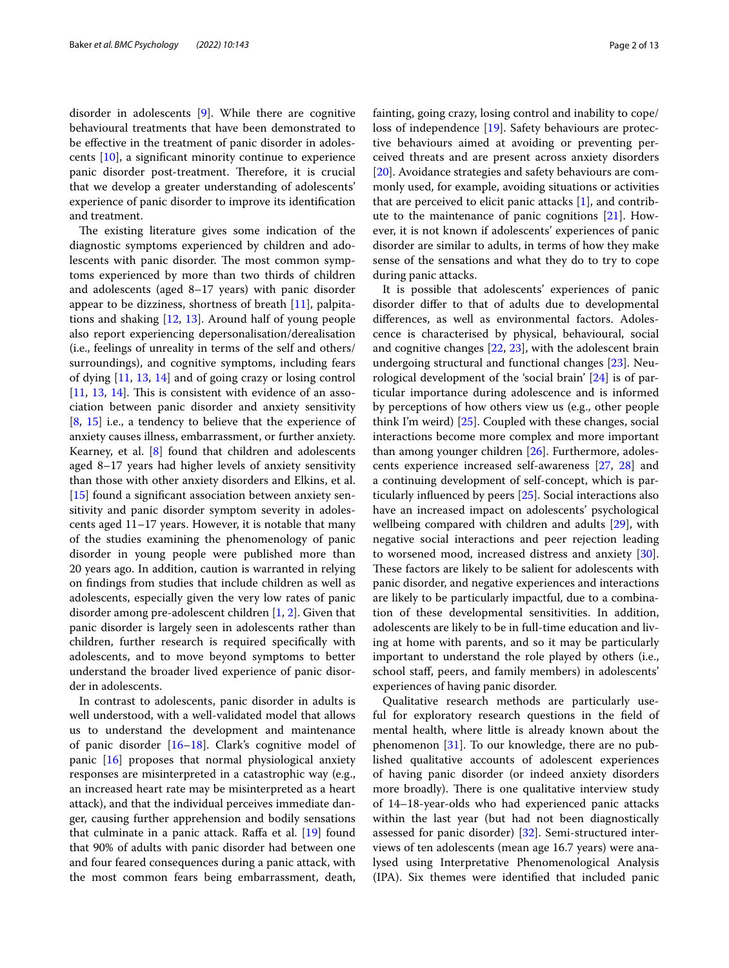disorder in adolescents [\[9](#page-11-7)]. While there are cognitive behavioural treatments that have been demonstrated to be efective in the treatment of panic disorder in adolescents [[10](#page-11-8)], a signifcant minority continue to experience panic disorder post-treatment. Therefore, it is crucial that we develop a greater understanding of adolescents' experience of panic disorder to improve its identifcation and treatment.

The existing literature gives some indication of the diagnostic symptoms experienced by children and adolescents with panic disorder. The most common symptoms experienced by more than two thirds of children and adolescents (aged 8–17 years) with panic disorder appear to be dizziness, shortness of breath [[11](#page-11-9)], palpitations and shaking [\[12](#page-11-10), [13](#page-11-11)]. Around half of young people also report experiencing depersonalisation/derealisation (i.e., feelings of unreality in terms of the self and others/ surroundings), and cognitive symptoms, including fears of dying [\[11](#page-11-9), [13](#page-11-11), [14](#page-11-12)] and of going crazy or losing control  $[11, 13, 14]$  $[11, 13, 14]$  $[11, 13, 14]$  $[11, 13, 14]$  $[11, 13, 14]$  $[11, 13, 14]$  $[11, 13, 14]$ . This is consistent with evidence of an association between panic disorder and anxiety sensitivity [[8,](#page-11-6) [15\]](#page-11-13) i.e., a tendency to believe that the experience of anxiety causes illness, embarrassment, or further anxiety. Kearney, et al.  $[8]$  $[8]$  found that children and adolescents aged 8–17 years had higher levels of anxiety sensitivity than those with other anxiety disorders and Elkins, et al. [[15\]](#page-11-13) found a significant association between anxiety sensitivity and panic disorder symptom severity in adolescents aged 11–17 years. However, it is notable that many of the studies examining the phenomenology of panic disorder in young people were published more than 20 years ago. In addition, caution is warranted in relying on fndings from studies that include children as well as adolescents, especially given the very low rates of panic disorder among pre-adolescent children [\[1](#page-11-0), [2\]](#page-11-1). Given that panic disorder is largely seen in adolescents rather than children, further research is required specifcally with adolescents, and to move beyond symptoms to better understand the broader lived experience of panic disorder in adolescents.

In contrast to adolescents, panic disorder in adults is well understood, with a well-validated model that allows us to understand the development and maintenance of panic disorder [[16–](#page-11-14)[18\]](#page-11-15). Clark's cognitive model of panic [\[16\]](#page-11-14) proposes that normal physiological anxiety responses are misinterpreted in a catastrophic way (e.g., an increased heart rate may be misinterpreted as a heart attack), and that the individual perceives immediate danger, causing further apprehension and bodily sensations that culminate in a panic attack. Raffa et al. [[19\]](#page-11-16) found that 90% of adults with panic disorder had between one and four feared consequences during a panic attack, with the most common fears being embarrassment, death, fainting, going crazy, losing control and inability to cope/ loss of independence [\[19](#page-11-16)]. Safety behaviours are protective behaviours aimed at avoiding or preventing perceived threats and are present across anxiety disorders [[20\]](#page-11-17). Avoidance strategies and safety behaviours are commonly used, for example, avoiding situations or activities that are perceived to elicit panic attacks [\[1](#page-11-0)], and contribute to the maintenance of panic cognitions [\[21\]](#page-11-18). However, it is not known if adolescents' experiences of panic disorder are similar to adults, in terms of how they make sense of the sensations and what they do to try to cope during panic attacks.

It is possible that adolescents' experiences of panic disorder difer to that of adults due to developmental diferences, as well as environmental factors. Adolescence is characterised by physical, behavioural, social and cognitive changes [\[22](#page-11-19), [23](#page-11-20)], with the adolescent brain undergoing structural and functional changes [\[23](#page-11-20)]. Neurological development of the 'social brain' [[24](#page-11-21)] is of particular importance during adolescence and is informed by perceptions of how others view us (e.g., other people think I'm weird) [[25\]](#page-11-22). Coupled with these changes, social interactions become more complex and more important than among younger children [\[26](#page-11-23)]. Furthermore, adolescents experience increased self-awareness [\[27](#page-11-24), [28\]](#page-11-25) and a continuing development of self-concept, which is particularly infuenced by peers [\[25](#page-11-22)]. Social interactions also have an increased impact on adolescents' psychological wellbeing compared with children and adults [\[29](#page-11-26)], with negative social interactions and peer rejection leading to worsened mood, increased distress and anxiety [\[30](#page-11-27)]. These factors are likely to be salient for adolescents with panic disorder, and negative experiences and interactions are likely to be particularly impactful, due to a combination of these developmental sensitivities. In addition, adolescents are likely to be in full-time education and living at home with parents, and so it may be particularly important to understand the role played by others (i.e., school staf, peers, and family members) in adolescents' experiences of having panic disorder.

Qualitative research methods are particularly useful for exploratory research questions in the feld of mental health, where little is already known about the phenomenon [[31](#page-11-28)]. To our knowledge, there are no published qualitative accounts of adolescent experiences of having panic disorder (or indeed anxiety disorders more broadly). There is one qualitative interview study of 14–18-year-olds who had experienced panic attacks within the last year (but had not been diagnostically assessed for panic disorder) [[32\]](#page-11-29). Semi-structured interviews of ten adolescents (mean age 16.7 years) were analysed using Interpretative Phenomenological Analysis (IPA). Six themes were identifed that included panic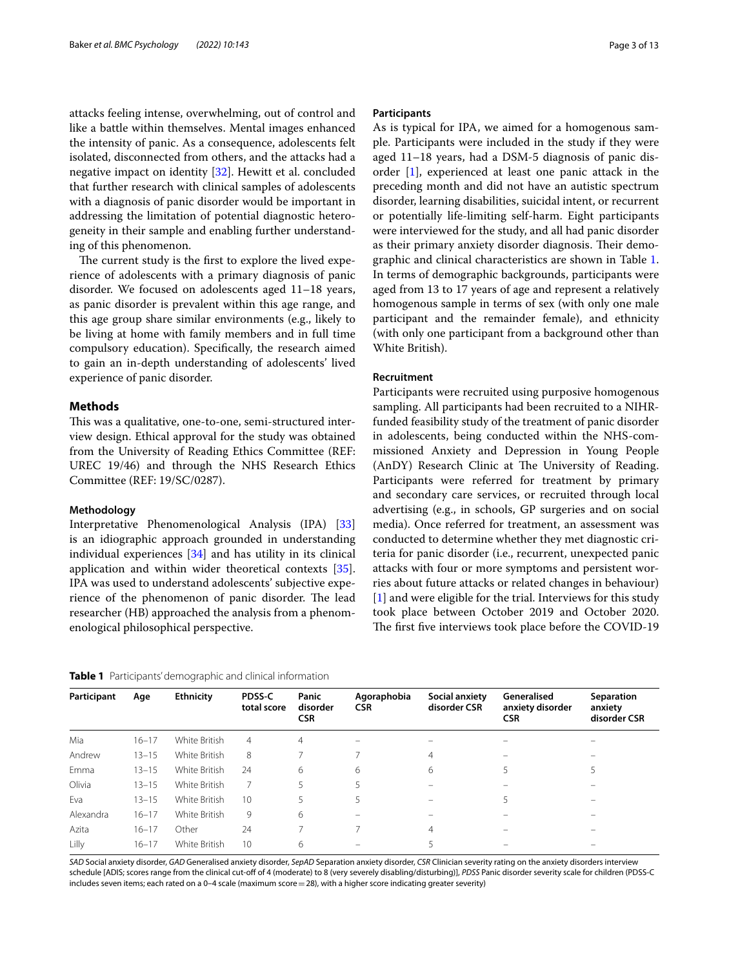attacks feeling intense, overwhelming, out of control and like a battle within themselves. Mental images enhanced the intensity of panic. As a consequence, adolescents felt isolated, disconnected from others, and the attacks had a negative impact on identity [[32\]](#page-11-29). Hewitt et al. concluded that further research with clinical samples of adolescents with a diagnosis of panic disorder would be important in addressing the limitation of potential diagnostic heterogeneity in their sample and enabling further understanding of this phenomenon.

The current study is the first to explore the lived experience of adolescents with a primary diagnosis of panic disorder. We focused on adolescents aged 11–18 years, as panic disorder is prevalent within this age range, and this age group share similar environments (e.g., likely to be living at home with family members and in full time compulsory education). Specifcally, the research aimed to gain an in-depth understanding of adolescents' lived experience of panic disorder.

## **Methods**

This was a qualitative, one-to-one, semi-structured interview design. Ethical approval for the study was obtained from the University of Reading Ethics Committee (REF: UREC 19/46) and through the NHS Research Ethics Committee (REF: 19/SC/0287).

#### **Methodology**

Interpretative Phenomenological Analysis (IPA) [[33](#page-11-30)] is an idiographic approach grounded in understanding individual experiences [[34\]](#page-11-31) and has utility in its clinical application and within wider theoretical contexts [\[35](#page-11-32)]. IPA was used to understand adolescents' subjective experience of the phenomenon of panic disorder. The lead researcher (HB) approached the analysis from a phenomenological philosophical perspective.

| Page 3 of 13 |  |  |  |
|--------------|--|--|--|
|--------------|--|--|--|

#### **Participants**

As is typical for IPA, we aimed for a homogenous sample. Participants were included in the study if they were aged 11–18 years, had a DSM-5 diagnosis of panic disorder [[1](#page-11-0)], experienced at least one panic attack in the preceding month and did not have an autistic spectrum disorder, learning disabilities, suicidal intent, or recurrent or potentially life-limiting self-harm. Eight participants were interviewed for the study, and all had panic disorder as their primary anxiety disorder diagnosis. Their demographic and clinical characteristics are shown in Table [1](#page-2-0). In terms of demographic backgrounds, participants were aged from 13 to 17 years of age and represent a relatively homogenous sample in terms of sex (with only one male participant and the remainder female), and ethnicity (with only one participant from a background other than White British).

## **Recruitment**

Participants were recruited using purposive homogenous sampling. All participants had been recruited to a NIHRfunded feasibility study of the treatment of panic disorder in adolescents, being conducted within the NHS-commissioned Anxiety and Depression in Young People (AnDY) Research Clinic at The University of Reading. Participants were referred for treatment by primary and secondary care services, or recruited through local advertising (e.g., in schools, GP surgeries and on social media). Once referred for treatment, an assessment was conducted to determine whether they met diagnostic criteria for panic disorder (i.e., recurrent, unexpected panic attacks with four or more symptoms and persistent worries about future attacks or related changes in behaviour) [[1\]](#page-11-0) and were eligible for the trial. Interviews for this study took place between October 2019 and October 2020. The first five interviews took place before the COVID-19

<span id="page-2-0"></span>

|  |  |  | Table 1 Participants' demographic and clinical information |
|--|--|--|------------------------------------------------------------|
|--|--|--|------------------------------------------------------------|

| Participant | Age       | <b>Ethnicity</b> | PDSS-C         | Panic                  | Agoraphobia | Social anxiety | Generalised                    | Separation              |  |
|-------------|-----------|------------------|----------------|------------------------|-------------|----------------|--------------------------------|-------------------------|--|
|             |           |                  | total score    | disorder<br><b>CSR</b> | <b>CSR</b>  | disorder CSR   | anxiety disorder<br><b>CSR</b> | anxiety<br>disorder CSR |  |
| Mia         | $16 - 17$ | White British    | $\overline{4}$ | $\overline{4}$         |             |                |                                |                         |  |
| Andrew      | $13 - 15$ | White British    | 8              |                        |             | 4              |                                |                         |  |
| Emma        | $13 - 15$ | White British    | 24             | 6                      | 6           | 6              | 5                              |                         |  |
| Olivia      | $13 - 15$ | White British    |                | 5                      |             |                | -                              |                         |  |
| Eva         | $13 - 15$ | White British    | 10             | 5                      | 5           |                | 5                              |                         |  |
| Alexandra   | $16 - 17$ | White British    | 9              | 6                      |             |                |                                |                         |  |
| Azita       | $16 - 17$ | Other            | 24             |                        |             | 4              |                                |                         |  |
| Lilly       | $16 - 17$ | White British    | 10             | 6                      |             |                |                                |                         |  |

*SAD* Social anxiety disorder, *GAD* Generalised anxiety disorder, *SepAD* Separation anxiety disorder, *CSR* Clinician severity rating on the anxiety disorders interview schedule [ADIS; scores range from the clinical cut-of of 4 (moderate) to 8 (very severely disabling/disturbing)], *PDSS* Panic disorder severity scale for children (PDSS-C includes seven items; each rated on a 0–4 scale (maximum score $=$  28), with a higher score indicating greater severity)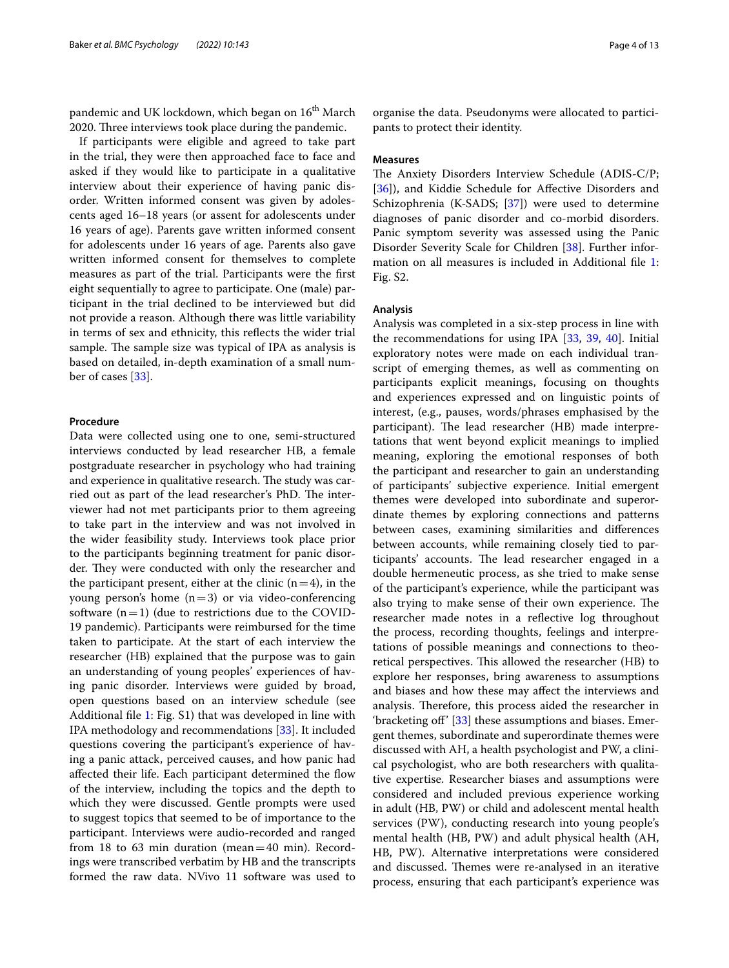pandemic and UK lockdown, which began on 16<sup>th</sup> March 2020. Three interviews took place during the pandemic.

If participants were eligible and agreed to take part in the trial, they were then approached face to face and asked if they would like to participate in a qualitative interview about their experience of having panic disorder. Written informed consent was given by adolescents aged 16–18 years (or assent for adolescents under 16 years of age). Parents gave written informed consent for adolescents under 16 years of age. Parents also gave written informed consent for themselves to complete measures as part of the trial. Participants were the frst eight sequentially to agree to participate. One (male) participant in the trial declined to be interviewed but did not provide a reason. Although there was little variability in terms of sex and ethnicity, this refects the wider trial sample. The sample size was typical of IPA as analysis is based on detailed, in-depth examination of a small number of cases [[33](#page-11-30)].

#### **Procedure**

Data were collected using one to one, semi-structured interviews conducted by lead researcher HB, a female postgraduate researcher in psychology who had training and experience in qualitative research. The study was carried out as part of the lead researcher's PhD. The interviewer had not met participants prior to them agreeing to take part in the interview and was not involved in the wider feasibility study. Interviews took place prior to the participants beginning treatment for panic disorder. They were conducted with only the researcher and the participant present, either at the clinic  $(n=4)$ , in the young person's home  $(n=3)$  or via video-conferencing software  $(n=1)$  (due to restrictions due to the COVID-19 pandemic). Participants were reimbursed for the time taken to participate. At the start of each interview the researcher (HB) explained that the purpose was to gain an understanding of young peoples' experiences of having panic disorder. Interviews were guided by broad, open questions based on an interview schedule (see Additional fle [1](#page-10-0): Fig. S1) that was developed in line with IPA methodology and recommendations [[33](#page-11-30)]. It included questions covering the participant's experience of having a panic attack, perceived causes, and how panic had afected their life. Each participant determined the fow of the interview, including the topics and the depth to which they were discussed. Gentle prompts were used to suggest topics that seemed to be of importance to the participant. Interviews were audio-recorded and ranged from 18 to 63 min duration (mean=40 min). Recordings were transcribed verbatim by HB and the transcripts formed the raw data. NVivo 11 software was used to

organise the data. Pseudonyms were allocated to participants to protect their identity.

## **Measures**

The Anxiety Disorders Interview Schedule (ADIS-C/P; [[36\]](#page-11-33)), and Kiddie Schedule for Affective Disorders and Schizophrenia (K-SADS; [[37\]](#page-11-34)) were used to determine diagnoses of panic disorder and co-morbid disorders. Panic symptom severity was assessed using the Panic Disorder Severity Scale for Children [[38](#page-11-35)]. Further information on all measures is included in Additional fle [1](#page-10-0): Fig. S2.

## **Analysis**

Analysis was completed in a six-step process in line with the recommendations for using IPA [\[33](#page-11-30), [39](#page-11-36), [40\]](#page-11-37). Initial exploratory notes were made on each individual transcript of emerging themes, as well as commenting on participants explicit meanings, focusing on thoughts and experiences expressed and on linguistic points of interest, (e.g., pauses, words/phrases emphasised by the participant). The lead researcher (HB) made interpretations that went beyond explicit meanings to implied meaning, exploring the emotional responses of both the participant and researcher to gain an understanding of participants' subjective experience. Initial emergent themes were developed into subordinate and superordinate themes by exploring connections and patterns between cases, examining similarities and diferences between accounts, while remaining closely tied to participants' accounts. The lead researcher engaged in a double hermeneutic process, as she tried to make sense of the participant's experience, while the participant was also trying to make sense of their own experience. The researcher made notes in a refective log throughout the process, recording thoughts, feelings and interpretations of possible meanings and connections to theoretical perspectives. This allowed the researcher (HB) to explore her responses, bring awareness to assumptions and biases and how these may afect the interviews and analysis. Therefore, this process aided the researcher in 'bracketing off' [\[33](#page-11-30)] these assumptions and biases. Emergent themes, subordinate and superordinate themes were discussed with AH, a health psychologist and PW, a clinical psychologist, who are both researchers with qualitative expertise. Researcher biases and assumptions were considered and included previous experience working in adult (HB, PW) or child and adolescent mental health services (PW), conducting research into young people's mental health (HB, PW) and adult physical health (AH, HB, PW). Alternative interpretations were considered and discussed. Themes were re-analysed in an iterative process, ensuring that each participant's experience was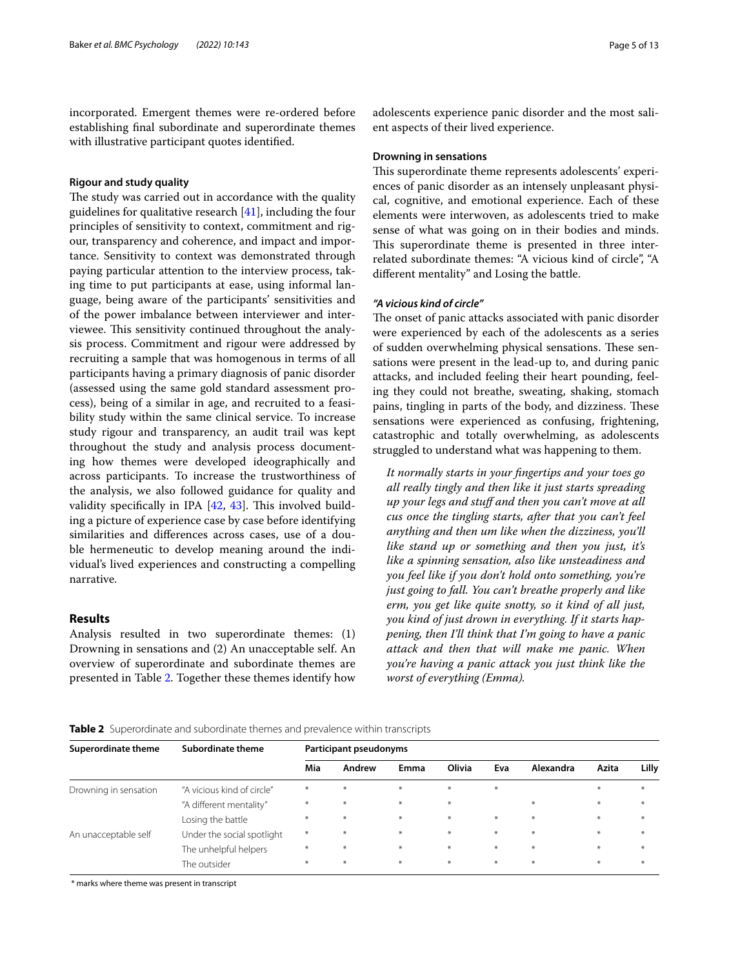incorporated. Emergent themes were re-ordered before establishing fnal subordinate and superordinate themes with illustrative participant quotes identifed.

## **Rigour and study quality**

The study was carried out in accordance with the quality guidelines for qualitative research [[41\]](#page-11-38), including the four principles of sensitivity to context, commitment and rigour, transparency and coherence, and impact and importance. Sensitivity to context was demonstrated through paying particular attention to the interview process, taking time to put participants at ease, using informal language, being aware of the participants' sensitivities and of the power imbalance between interviewer and interviewee. This sensitivity continued throughout the analysis process. Commitment and rigour were addressed by recruiting a sample that was homogenous in terms of all participants having a primary diagnosis of panic disorder (assessed using the same gold standard assessment process), being of a similar in age, and recruited to a feasibility study within the same clinical service. To increase study rigour and transparency, an audit trail was kept throughout the study and analysis process documenting how themes were developed ideographically and across participants. To increase the trustworthiness of the analysis, we also followed guidance for quality and validity specifically in IPA  $[42, 43]$  $[42, 43]$  $[42, 43]$ . This involved building a picture of experience case by case before identifying similarities and diferences across cases, use of a double hermeneutic to develop meaning around the individual's lived experiences and constructing a compelling narrative.

## **Results**

Analysis resulted in two superordinate themes: (1) Drowning in sensations and (2) An unacceptable self. An overview of superordinate and subordinate themes are presented in Table [2](#page-4-0). Together these themes identify how adolescents experience panic disorder and the most salient aspects of their lived experience.

#### **Drowning in sensations**

This superordinate theme represents adolescents' experiences of panic disorder as an intensely unpleasant physical, cognitive, and emotional experience. Each of these elements were interwoven, as adolescents tried to make sense of what was going on in their bodies and minds. This superordinate theme is presented in three interrelated subordinate themes: "A vicious kind of circle", "A diferent mentality" and Losing the battle.

## *"A vicious kind of circle"*

The onset of panic attacks associated with panic disorder were experienced by each of the adolescents as a series of sudden overwhelming physical sensations. These sensations were present in the lead-up to, and during panic attacks, and included feeling their heart pounding, feeling they could not breathe, sweating, shaking, stomach pains, tingling in parts of the body, and dizziness. These sensations were experienced as confusing, frightening, catastrophic and totally overwhelming, as adolescents struggled to understand what was happening to them.

*It normally starts in your fngertips and your toes go all really tingly and then like it just starts spreading up your legs and stuf and then you can't move at all cus once the tingling starts, after that you can't feel anything and then um like when the dizziness, you'll like stand up or something and then you just, it's like a spinning sensation, also like unsteadiness and you feel like if you don't hold onto something, you're just going to fall. You can't breathe properly and like erm, you get like quite snotty, so it kind of all just, you kind of just drown in everything. If it starts happening, then I'll think that I'm going to have a panic attack and then that will make me panic. When you're having a panic attack you just think like the worst of everything (Emma).*

#### <span id="page-4-0"></span>**Table 2** Superordinate and subordinate themes and prevalence within transcripts

| <b>Superordinate theme</b> | Subordinate theme          | <b>Participant pseudonyms</b> |        |      |                  |                  |           |       |       |
|----------------------------|----------------------------|-------------------------------|--------|------|------------------|------------------|-----------|-------|-------|
|                            |                            | Mia                           | Andrew | Emma | Olivia           | Eva              | Alexandra | Azita | Lilly |
| Drowning in sensation      | "A vicious kind of circle" | $*$                           | $*$    | $*$  | $*$              | $*$              |           | $*$   | $*$   |
|                            | "A different mentality"    | $*$                           | $*$    | $*$  | $*$              |                  | $*$       | $*$   | $*$   |
|                            | Losing the battle          | $*$                           | $*$    | $*$  | $*$              | $*$              | $*$       | $*$   | $*$   |
| An unacceptable self       | Under the social spotlight | $*$                           | $*$    | $*$  | $\divideontimes$ | $\divideontimes$ | $*$       | $*$   | $*$   |
|                            | The unhelpful helpers      | $\ast$                        | $*$    | $*$  | $\ast$           | $*$              | $*$       | $*$   | $*$   |
|                            | The outsider               | $*$                           | $*$    | $*$  | $*$              | $*$              | $*$       | $*$   | $*$   |

\* marks where theme was present in transcript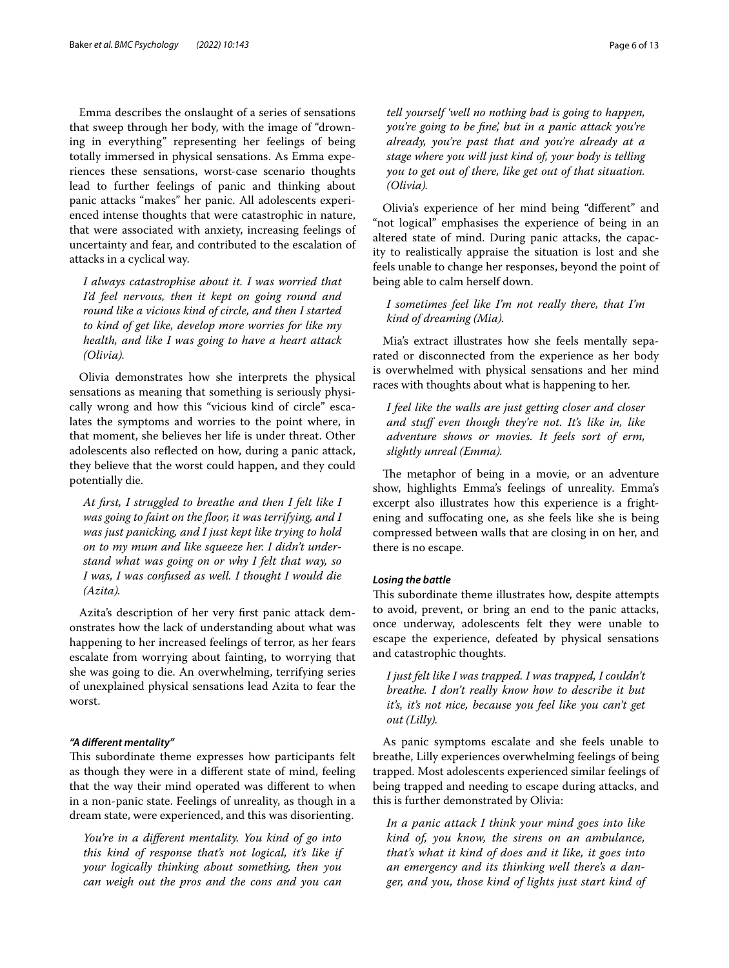Emma describes the onslaught of a series of sensations that sweep through her body, with the image of "drowning in everything" representing her feelings of being totally immersed in physical sensations. As Emma experiences these sensations, worst-case scenario thoughts lead to further feelings of panic and thinking about panic attacks "makes" her panic. All adolescents experienced intense thoughts that were catastrophic in nature, that were associated with anxiety, increasing feelings of uncertainty and fear, and contributed to the escalation of attacks in a cyclical way.

*I always catastrophise about it. I was worried that I'd feel nervous, then it kept on going round and round like a vicious kind of circle, and then I started to kind of get like, develop more worries for like my health, and like I was going to have a heart attack (Olivia).*

Olivia demonstrates how she interprets the physical sensations as meaning that something is seriously physically wrong and how this "vicious kind of circle" escalates the symptoms and worries to the point where, in that moment, she believes her life is under threat. Other adolescents also refected on how, during a panic attack, they believe that the worst could happen, and they could potentially die.

*At frst, I struggled to breathe and then I felt like I was going to faint on the foor, it was terrifying, and I was just panicking, and I just kept like trying to hold on to my mum and like squeeze her. I didn't understand what was going on or why I felt that way, so I was, I was confused as well. I thought I would die (Azita).*

Azita's description of her very frst panic attack demonstrates how the lack of understanding about what was happening to her increased feelings of terror, as her fears escalate from worrying about fainting, to worrying that she was going to die. An overwhelming, terrifying series of unexplained physical sensations lead Azita to fear the worst.

## *"A diferent mentality"*

This subordinate theme expresses how participants felt as though they were in a diferent state of mind, feeling that the way their mind operated was diferent to when in a non-panic state. Feelings of unreality, as though in a dream state, were experienced, and this was disorienting.

*You're in a diferent mentality. You kind of go into this kind of response that's not logical, it's like if your logically thinking about something, then you can weigh out the pros and the cons and you can* 

*tell yourself 'well no nothing bad is going to happen, you're going to be fne', but in a panic attack you're already, you're past that and you're already at a stage where you will just kind of, your body is telling you to get out of there, like get out of that situation. (Olivia).*

Olivia's experience of her mind being "diferent" and "not logical" emphasises the experience of being in an altered state of mind. During panic attacks, the capacity to realistically appraise the situation is lost and she feels unable to change her responses, beyond the point of being able to calm herself down.

*I sometimes feel like I'm not really there, that I'm kind of dreaming (Mia).*

Mia's extract illustrates how she feels mentally separated or disconnected from the experience as her body is overwhelmed with physical sensations and her mind races with thoughts about what is happening to her.

*I feel like the walls are just getting closer and closer and stuf even though they're not. It's like in, like adventure shows or movies. It feels sort of erm, slightly unreal (Emma).*

The metaphor of being in a movie, or an adventure show, highlights Emma's feelings of unreality. Emma's excerpt also illustrates how this experience is a frightening and sufocating one, as she feels like she is being compressed between walls that are closing in on her, and there is no escape.

## *Losing the battle*

This subordinate theme illustrates how, despite attempts to avoid, prevent, or bring an end to the panic attacks, once underway, adolescents felt they were unable to escape the experience, defeated by physical sensations and catastrophic thoughts.

*I just felt like I was trapped. I was trapped, I couldn't breathe. I don't really know how to describe it but it's, it's not nice, because you feel like you can't get out (Lilly).*

As panic symptoms escalate and she feels unable to breathe, Lilly experiences overwhelming feelings of being trapped. Most adolescents experienced similar feelings of being trapped and needing to escape during attacks, and this is further demonstrated by Olivia:

*In a panic attack I think your mind goes into like kind of, you know, the sirens on an ambulance, that's what it kind of does and it like, it goes into an emergency and its thinking well there's a danger, and you, those kind of lights just start kind of*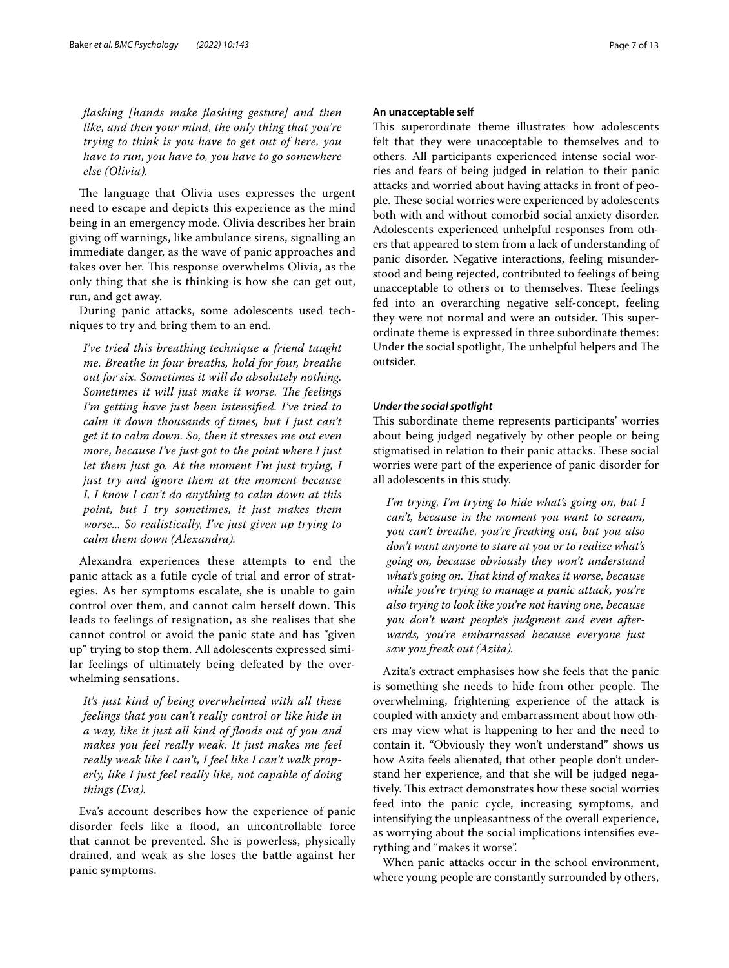*fashing [hands make fashing gesture] and then like, and then your mind, the only thing that you're trying to think is you have to get out of here, you have to run, you have to, you have to go somewhere else (Olivia).*

The language that Olivia uses expresses the urgent need to escape and depicts this experience as the mind being in an emergency mode. Olivia describes her brain giving of warnings, like ambulance sirens, signalling an immediate danger, as the wave of panic approaches and takes over her. This response overwhelms Olivia, as the only thing that she is thinking is how she can get out, run, and get away.

During panic attacks, some adolescents used techniques to try and bring them to an end.

*I've tried this breathing technique a friend taught me. Breathe in four breaths, hold for four, breathe out for six. Sometimes it will do absolutely nothing. Sometimes it will just make it worse. The feelings I'm getting have just been intensifed. I've tried to calm it down thousands of times, but I just can't get it to calm down. So, then it stresses me out even more, because I've just got to the point where I just let them just go. At the moment I'm just trying, I just try and ignore them at the moment because I, I know I can't do anything to calm down at this point, but I try sometimes, it just makes them worse... So realistically, I've just given up trying to calm them down (Alexandra).*

Alexandra experiences these attempts to end the panic attack as a futile cycle of trial and error of strategies. As her symptoms escalate, she is unable to gain control over them, and cannot calm herself down. This leads to feelings of resignation, as she realises that she cannot control or avoid the panic state and has "given up" trying to stop them. All adolescents expressed similar feelings of ultimately being defeated by the overwhelming sensations.

*It's just kind of being overwhelmed with all these feelings that you can't really control or like hide in a way, like it just all kind of foods out of you and makes you feel really weak. It just makes me feel really weak like I can't, I feel like I can't walk properly, like I just feel really like, not capable of doing things (Eva).*

Eva's account describes how the experience of panic disorder feels like a flood, an uncontrollable force that cannot be prevented. She is powerless, physically drained, and weak as she loses the battle against her panic symptoms.

## **An unacceptable self**

This superordinate theme illustrates how adolescents felt that they were unacceptable to themselves and to others. All participants experienced intense social worries and fears of being judged in relation to their panic attacks and worried about having attacks in front of people. These social worries were experienced by adolescents both with and without comorbid social anxiety disorder. Adolescents experienced unhelpful responses from others that appeared to stem from a lack of understanding of panic disorder. Negative interactions, feeling misunderstood and being rejected, contributed to feelings of being unacceptable to others or to themselves. These feelings fed into an overarching negative self-concept, feeling they were not normal and were an outsider. This superordinate theme is expressed in three subordinate themes: Under the social spotlight, The unhelpful helpers and The outsider.

## *Under the social spotlight*

This subordinate theme represents participants' worries about being judged negatively by other people or being stigmatised in relation to their panic attacks. These social worries were part of the experience of panic disorder for all adolescents in this study.

*I'm trying, I'm trying to hide what's going on, but I can't, because in the moment you want to scream, you can't breathe, you're freaking out, but you also don't want anyone to stare at you or to realize what's going on, because obviously they won't understand what's going on. Tat kind of makes it worse, because while you're trying to manage a panic attack, you're also trying to look like you're not having one, because you don't want people's judgment and even afterwards, you're embarrassed because everyone just saw you freak out (Azita).*

Azita's extract emphasises how she feels that the panic is something she needs to hide from other people. The overwhelming, frightening experience of the attack is coupled with anxiety and embarrassment about how others may view what is happening to her and the need to contain it. "Obviously they won't understand" shows us how Azita feels alienated, that other people don't understand her experience, and that she will be judged negatively. This extract demonstrates how these social worries feed into the panic cycle, increasing symptoms, and intensifying the unpleasantness of the overall experience, as worrying about the social implications intensifes everything and "makes it worse".

When panic attacks occur in the school environment, where young people are constantly surrounded by others,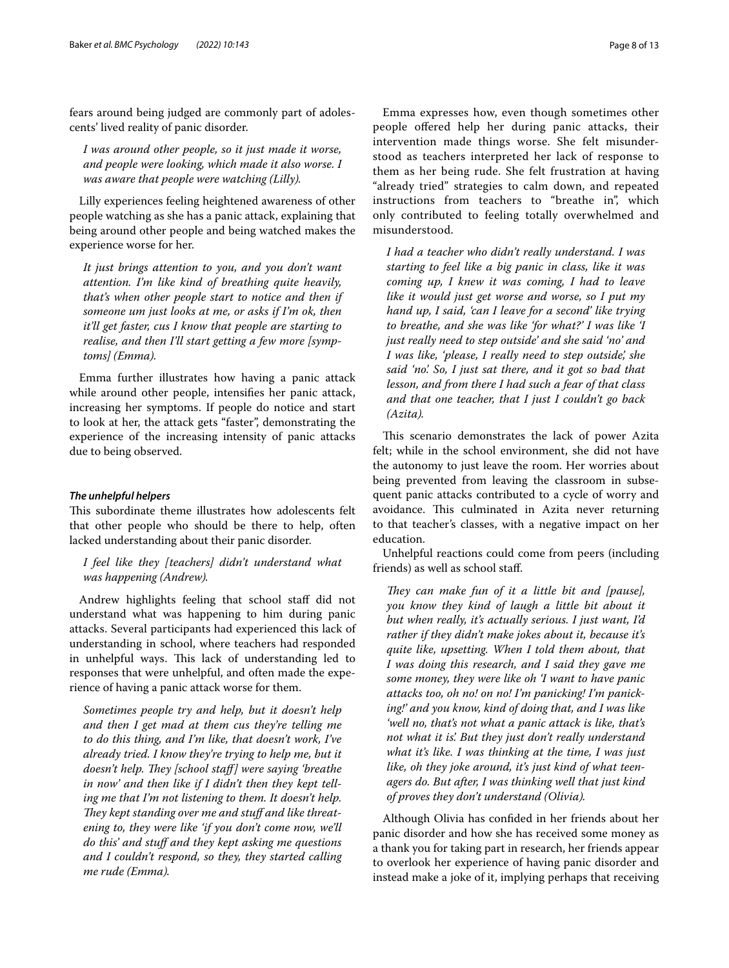fears around being judged are commonly part of adolescents' lived reality of panic disorder.

*I was around other people, so it just made it worse, and people were looking, which made it also worse. I was aware that people were watching (Lilly).*

Lilly experiences feeling heightened awareness of other people watching as she has a panic attack, explaining that being around other people and being watched makes the experience worse for her.

*It just brings attention to you, and you don't want attention. I'm like kind of breathing quite heavily, that's when other people start to notice and then if someone um just looks at me, or asks if I'm ok, then it'll get faster, cus I know that people are starting to realise, and then I'll start getting a few more [symptoms] (Emma).*

Emma further illustrates how having a panic attack while around other people, intensifes her panic attack, increasing her symptoms. If people do notice and start to look at her, the attack gets "faster", demonstrating the experience of the increasing intensity of panic attacks due to being observed.

#### *The unhelpful helpers*

This subordinate theme illustrates how adolescents felt that other people who should be there to help, often lacked understanding about their panic disorder.

*I feel like they [teachers] didn't understand what was happening (Andrew).*

Andrew highlights feeling that school staf did not understand what was happening to him during panic attacks. Several participants had experienced this lack of understanding in school, where teachers had responded in unhelpful ways. This lack of understanding led to responses that were unhelpful, and often made the experience of having a panic attack worse for them.

*Sometimes people try and help, but it doesn't help and then I get mad at them cus they're telling me to do this thing, and I'm like, that doesn't work, I've already tried. I know they're trying to help me, but it doesn't help. They [school staff] were saying 'breathe in now' and then like if I didn't then they kept telling me that I'm not listening to them. It doesn't help.*  They kept standing over me and stuff and like threat*ening to, they were like 'if you don't come now, we'll do this' and stuf and they kept asking me questions and I couldn't respond, so they, they started calling me rude (Emma).*

Emma expresses how, even though sometimes other people offered help her during panic attacks, their intervention made things worse. She felt misunderstood as teachers interpreted her lack of response to them as her being rude. She felt frustration at having "already tried" strategies to calm down, and repeated instructions from teachers to "breathe in", which only contributed to feeling totally overwhelmed and misunderstood.

*I had a teacher who didn't really understand. I was starting to feel like a big panic in class, like it was coming up, I knew it was coming, I had to leave like it would just get worse and worse, so I put my hand up, I said, 'can I leave for a second' like trying to breathe, and she was like 'for what?' I was like 'I just really need to step outside' and she said 'no' and I was like, 'please, I really need to step outside', she said 'no'. So, I just sat there, and it got so bad that lesson, and from there I had such a fear of that class and that one teacher, that I just I couldn't go back (Azita).*

This scenario demonstrates the lack of power Azita felt; while in the school environment, she did not have the autonomy to just leave the room. Her worries about being prevented from leaving the classroom in subsequent panic attacks contributed to a cycle of worry and avoidance. This culminated in Azita never returning to that teacher's classes, with a negative impact on her education.

Unhelpful reactions could come from peers (including friends) as well as school staf.

*They can make fun of it a little bit and [pause], you know they kind of laugh a little bit about it but when really, it's actually serious. I just want, I'd rather if they didn't make jokes about it, because it's quite like, upsetting. When I told them about, that I was doing this research, and I said they gave me some money, they were like oh 'I want to have panic attacks too, oh no! on no! I'm panicking! I'm panicking!' and you know, kind of doing that, and I was like 'well no, that's not what a panic attack is like, that's not what it is'. But they just don't really understand what it's like. I was thinking at the time, I was just like, oh they joke around, it's just kind of what teenagers do. But after, I was thinking well that just kind of proves they don't understand (Olivia).*

Although Olivia has confded in her friends about her panic disorder and how she has received some money as a thank you for taking part in research, her friends appear to overlook her experience of having panic disorder and instead make a joke of it, implying perhaps that receiving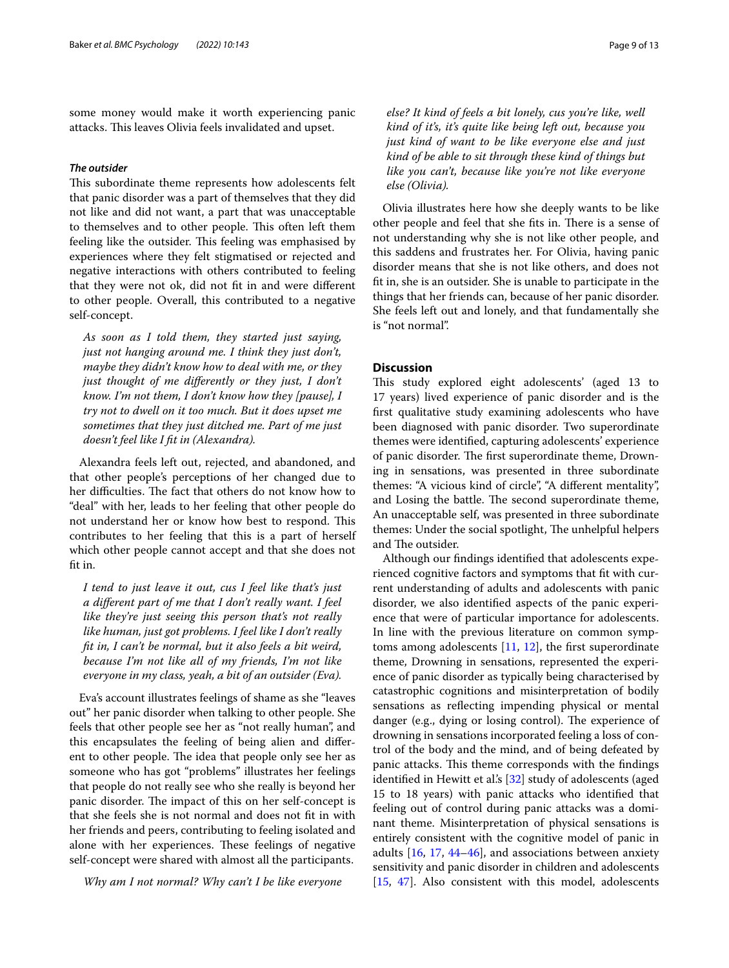some money would make it worth experiencing panic attacks. This leaves Olivia feels invalidated and upset.

## *The outsider*

This subordinate theme represents how adolescents felt that panic disorder was a part of themselves that they did not like and did not want, a part that was unacceptable to themselves and to other people. This often left them feeling like the outsider. This feeling was emphasised by experiences where they felt stigmatised or rejected and negative interactions with others contributed to feeling that they were not ok, did not ft in and were diferent to other people. Overall, this contributed to a negative self-concept.

*As soon as I told them, they started just saying, just not hanging around me. I think they just don't, maybe they didn't know how to deal with me, or they just thought of me diferently or they just, I don't know. I'm not them, I don't know how they [pause], I try not to dwell on it too much. But it does upset me sometimes that they just ditched me. Part of me just doesn't feel like I ft in (Alexandra).*

Alexandra feels left out, rejected, and abandoned, and that other people's perceptions of her changed due to her difficulties. The fact that others do not know how to "deal" with her, leads to her feeling that other people do not understand her or know how best to respond. This contributes to her feeling that this is a part of herself which other people cannot accept and that she does not fit in.

*I tend to just leave it out, cus I feel like that's just a diferent part of me that I don't really want. I feel like they're just seeing this person that's not really like human, just got problems. I feel like I don't really ft in, I can't be normal, but it also feels a bit weird, because I'm not like all of my friends, I'm not like everyone in my class, yeah, a bit of an outsider (Eva).*

Eva's account illustrates feelings of shame as she "leaves out" her panic disorder when talking to other people. She feels that other people see her as "not really human", and this encapsulates the feeling of being alien and diferent to other people. The idea that people only see her as someone who has got "problems" illustrates her feelings that people do not really see who she really is beyond her panic disorder. The impact of this on her self-concept is that she feels she is not normal and does not ft in with her friends and peers, contributing to feeling isolated and alone with her experiences. These feelings of negative self-concept were shared with almost all the participants.

*Why am I not normal? Why can't I be like everyone* 

*else? It kind of feels a bit lonely, cus you're like, well kind of it's, it's quite like being left out, because you just kind of want to be like everyone else and just kind of be able to sit through these kind of things but like you can't, because like you're not like everyone else (Olivia).*

Olivia illustrates here how she deeply wants to be like other people and feel that she fits in. There is a sense of not understanding why she is not like other people, and this saddens and frustrates her. For Olivia, having panic disorder means that she is not like others, and does not ft in, she is an outsider. She is unable to participate in the things that her friends can, because of her panic disorder. She feels left out and lonely, and that fundamentally she is "not normal".

## **Discussion**

This study explored eight adolescents' (aged 13 to 17 years) lived experience of panic disorder and is the frst qualitative study examining adolescents who have been diagnosed with panic disorder. Two superordinate themes were identifed, capturing adolescents' experience of panic disorder. The first superordinate theme, Drowning in sensations, was presented in three subordinate themes: "A vicious kind of circle", "A diferent mentality", and Losing the battle. The second superordinate theme, An unacceptable self, was presented in three subordinate themes: Under the social spotlight, The unhelpful helpers and The outsider.

Although our fndings identifed that adolescents experienced cognitive factors and symptoms that ft with current understanding of adults and adolescents with panic disorder, we also identifed aspects of the panic experience that were of particular importance for adolescents. In line with the previous literature on common symptoms among adolescents  $[11, 12]$  $[11, 12]$  $[11, 12]$  $[11, 12]$ , the first superordinate theme, Drowning in sensations, represented the experience of panic disorder as typically being characterised by catastrophic cognitions and misinterpretation of bodily sensations as refecting impending physical or mental danger (e.g., dying or losing control). The experience of drowning in sensations incorporated feeling a loss of control of the body and the mind, and of being defeated by panic attacks. This theme corresponds with the findings identified in Hewitt et al's [\[32\]](#page-11-29) study of adolescents (aged 15 to 18 years) with panic attacks who identifed that feeling out of control during panic attacks was a dominant theme. Misinterpretation of physical sensations is entirely consistent with the cognitive model of panic in adults [[16,](#page-11-14) [17,](#page-11-41) [44](#page-11-42)[–46\]](#page-12-0), and associations between anxiety sensitivity and panic disorder in children and adolescents [[15,](#page-11-13) [47\]](#page-12-1). Also consistent with this model, adolescents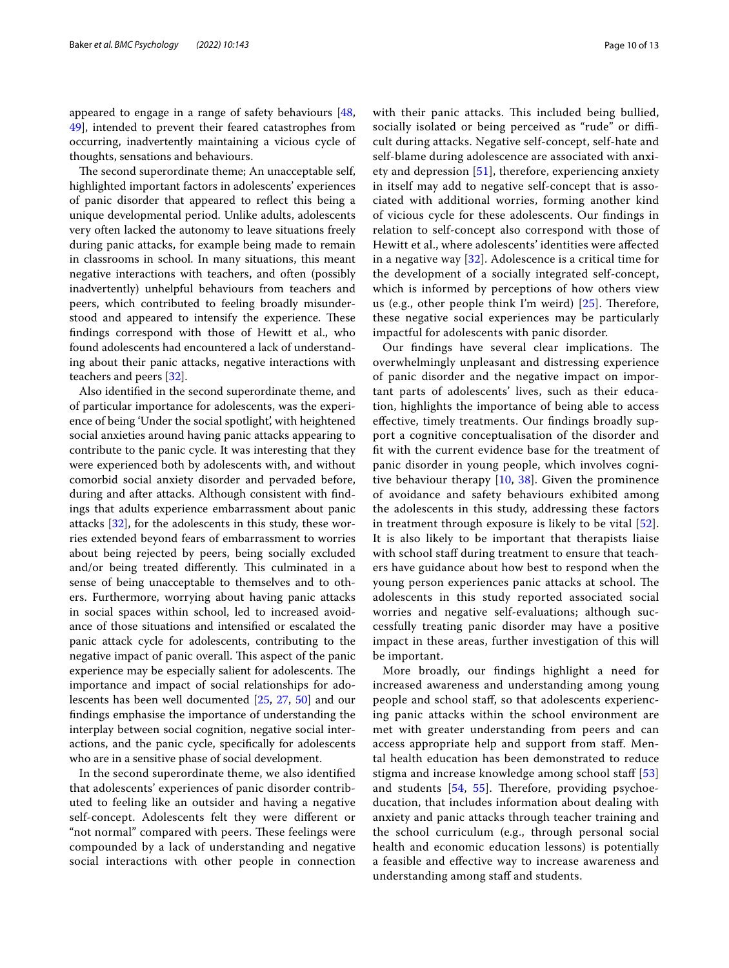appeared to engage in a range of safety behaviours [\[48](#page-12-2), [49\]](#page-12-3), intended to prevent their feared catastrophes from occurring, inadvertently maintaining a vicious cycle of thoughts, sensations and behaviours.

The second superordinate theme; An unacceptable self, highlighted important factors in adolescents' experiences of panic disorder that appeared to refect this being a unique developmental period. Unlike adults, adolescents very often lacked the autonomy to leave situations freely during panic attacks, for example being made to remain in classrooms in school. In many situations, this meant negative interactions with teachers, and often (possibly inadvertently) unhelpful behaviours from teachers and peers, which contributed to feeling broadly misunderstood and appeared to intensify the experience. These fndings correspond with those of Hewitt et al., who found adolescents had encountered a lack of understanding about their panic attacks, negative interactions with teachers and peers [[32\]](#page-11-29).

Also identifed in the second superordinate theme, and of particular importance for adolescents, was the experience of being 'Under the social spotlight', with heightened social anxieties around having panic attacks appearing to contribute to the panic cycle. It was interesting that they were experienced both by adolescents with, and without comorbid social anxiety disorder and pervaded before, during and after attacks. Although consistent with fndings that adults experience embarrassment about panic attacks [[32](#page-11-29)], for the adolescents in this study, these worries extended beyond fears of embarrassment to worries about being rejected by peers, being socially excluded and/or being treated differently. This culminated in a sense of being unacceptable to themselves and to others. Furthermore, worrying about having panic attacks in social spaces within school, led to increased avoidance of those situations and intensifed or escalated the panic attack cycle for adolescents, contributing to the negative impact of panic overall. This aspect of the panic experience may be especially salient for adolescents. The importance and impact of social relationships for adolescents has been well documented [\[25](#page-11-22), [27,](#page-11-24) [50](#page-12-4)] and our fndings emphasise the importance of understanding the interplay between social cognition, negative social interactions, and the panic cycle, specifcally for adolescents who are in a sensitive phase of social development.

In the second superordinate theme, we also identifed that adolescents' experiences of panic disorder contributed to feeling like an outsider and having a negative self-concept. Adolescents felt they were diferent or "not normal" compared with peers. These feelings were compounded by a lack of understanding and negative social interactions with other people in connection with their panic attacks. This included being bullied, socially isolated or being perceived as "rude" or difficult during attacks. Negative self-concept, self-hate and self-blame during adolescence are associated with anxiety and depression [\[51\]](#page-12-5), therefore, experiencing anxiety in itself may add to negative self-concept that is associated with additional worries, forming another kind of vicious cycle for these adolescents. Our fndings in relation to self-concept also correspond with those of Hewitt et al., where adolescents' identities were afected in a negative way [[32\]](#page-11-29). Adolescence is a critical time for the development of a socially integrated self-concept, which is informed by perceptions of how others view us (e.g., other people think I'm weird)  $[25]$  $[25]$  $[25]$ . Therefore, these negative social experiences may be particularly impactful for adolescents with panic disorder.

Our findings have several clear implications. The overwhelmingly unpleasant and distressing experience of panic disorder and the negative impact on important parts of adolescents' lives, such as their education, highlights the importance of being able to access efective, timely treatments. Our fndings broadly support a cognitive conceptualisation of the disorder and ft with the current evidence base for the treatment of panic disorder in young people, which involves cognitive behaviour therapy  $[10, 38]$  $[10, 38]$  $[10, 38]$  $[10, 38]$ . Given the prominence of avoidance and safety behaviours exhibited among the adolescents in this study, addressing these factors in treatment through exposure is likely to be vital [[52](#page-12-6)]. It is also likely to be important that therapists liaise with school staff during treatment to ensure that teachers have guidance about how best to respond when the young person experiences panic attacks at school. The adolescents in this study reported associated social worries and negative self-evaluations; although successfully treating panic disorder may have a positive impact in these areas, further investigation of this will be important.

More broadly, our fndings highlight a need for increased awareness and understanding among young people and school staf, so that adolescents experiencing panic attacks within the school environment are met with greater understanding from peers and can access appropriate help and support from staf. Mental health education has been demonstrated to reduce stigma and increase knowledge among school staff [\[53](#page-12-7)] and students  $[54, 55]$  $[54, 55]$  $[54, 55]$  $[54, 55]$ . Therefore, providing psychoeducation, that includes information about dealing with anxiety and panic attacks through teacher training and the school curriculum (e.g., through personal social health and economic education lessons) is potentially a feasible and efective way to increase awareness and understanding among staff and students.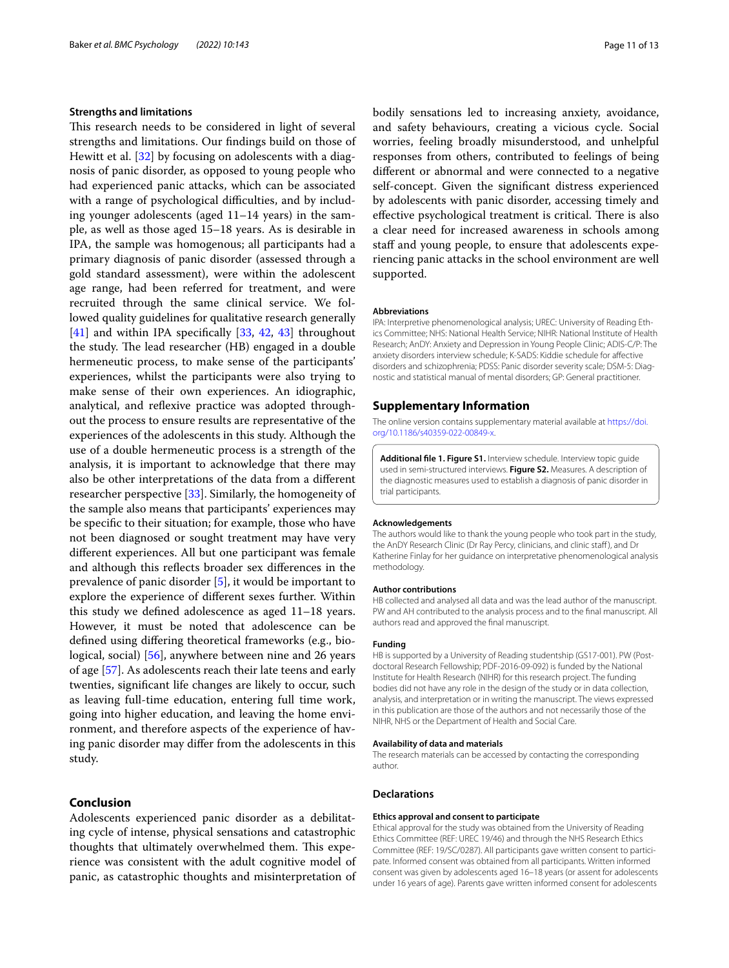## **Strengths and limitations**

This research needs to be considered in light of several strengths and limitations. Our fndings build on those of Hewitt et al. [\[32](#page-11-29)] by focusing on adolescents with a diagnosis of panic disorder, as opposed to young people who had experienced panic attacks, which can be associated with a range of psychological difficulties, and by including younger adolescents (aged 11–14 years) in the sample, as well as those aged 15–18 years. As is desirable in IPA, the sample was homogenous; all participants had a primary diagnosis of panic disorder (assessed through a gold standard assessment), were within the adolescent age range, had been referred for treatment, and were recruited through the same clinical service. We followed quality guidelines for qualitative research generally [[41\]](#page-11-38) and within IPA specifically [[33,](#page-11-30) [42](#page-11-39), [43](#page-11-40)] throughout the study. The lead researcher (HB) engaged in a double hermeneutic process, to make sense of the participants' experiences, whilst the participants were also trying to make sense of their own experiences. An idiographic, analytical, and refexive practice was adopted throughout the process to ensure results are representative of the experiences of the adolescents in this study. Although the use of a double hermeneutic process is a strength of the analysis, it is important to acknowledge that there may also be other interpretations of the data from a diferent researcher perspective [[33\]](#page-11-30). Similarly, the homogeneity of the sample also means that participants' experiences may be specifc to their situation; for example, those who have not been diagnosed or sought treatment may have very diferent experiences. All but one participant was female and although this refects broader sex diferences in the prevalence of panic disorder [[5\]](#page-11-3), it would be important to explore the experience of diferent sexes further. Within this study we defned adolescence as aged 11–18 years. However, it must be noted that adolescence can be defned using difering theoretical frameworks (e.g., biological, social) [[56\]](#page-12-10), anywhere between nine and 26 years of age [\[57\]](#page-12-11). As adolescents reach their late teens and early twenties, signifcant life changes are likely to occur, such as leaving full-time education, entering full time work, going into higher education, and leaving the home environment, and therefore aspects of the experience of having panic disorder may difer from the adolescents in this study.

## **Conclusion**

Adolescents experienced panic disorder as a debilitating cycle of intense, physical sensations and catastrophic thoughts that ultimately overwhelmed them. This experience was consistent with the adult cognitive model of panic, as catastrophic thoughts and misinterpretation of bodily sensations led to increasing anxiety, avoidance, and safety behaviours, creating a vicious cycle. Social worries, feeling broadly misunderstood, and unhelpful responses from others, contributed to feelings of being diferent or abnormal and were connected to a negative self-concept. Given the signifcant distress experienced by adolescents with panic disorder, accessing timely and effective psychological treatment is critical. There is also a clear need for increased awareness in schools among staff and young people, to ensure that adolescents experiencing panic attacks in the school environment are well supported.

#### **Abbreviations**

IPA: Interpretive phenomenological analysis; UREC: University of Reading Ethics Committee; NHS: National Health Service; NIHR: National Institute of Health Research; AnDY: Anxiety and Depression in Young People Clinic; ADIS-C/P: The anxiety disorders interview schedule; K-SADS: Kiddie schedule for afective disorders and schizophrenia; PDSS: Panic disorder severity scale; DSM-5: Diagnostic and statistical manual of mental disorders; GP: General practitioner.

#### **Supplementary Information**

The online version contains supplementary material available at [https://doi.](https://doi.org/10.1186/s40359-022-00849-x) [org/10.1186/s40359-022-00849-x.](https://doi.org/10.1186/s40359-022-00849-x)

<span id="page-10-0"></span>**Additional fle 1. Figure S1.** Interview schedule. Interview topic guide used in semi-structured interviews. **Figure S2.** Measures. A description of the diagnostic measures used to establish a diagnosis of panic disorder in trial participants.

#### **Acknowledgements**

The authors would like to thank the young people who took part in the study, the AnDY Research Clinic (Dr Ray Percy, clinicians, and clinic staff), and Dr Katherine Finlay for her guidance on interpretative phenomenological analysis methodology.

#### **Author contributions**

HB collected and analysed all data and was the lead author of the manuscript. PW and AH contributed to the analysis process and to the fnal manuscript. All authors read and approved the fnal manuscript.

#### **Funding**

HB is supported by a University of Reading studentship (GS17-001). PW (Postdoctoral Research Fellowship; PDF-2016-09-092) is funded by the National Institute for Health Research (NIHR) for this research project. The funding bodies did not have any role in the design of the study or in data collection, analysis, and interpretation or in writing the manuscript. The views expressed in this publication are those of the authors and not necessarily those of the NIHR, NHS or the Department of Health and Social Care.

#### **Availability of data and materials**

The research materials can be accessed by contacting the corresponding author.

#### **Declarations**

#### **Ethics approval and consent to participate**

Ethical approval for the study was obtained from the University of Reading Ethics Committee (REF: UREC 19/46) and through the NHS Research Ethics Committee (REF: 19/SC/0287). All participants gave written consent to participate. Informed consent was obtained from all participants. Written informed consent was given by adolescents aged 16–18 years (or assent for adolescents under 16 years of age). Parents gave written informed consent for adolescents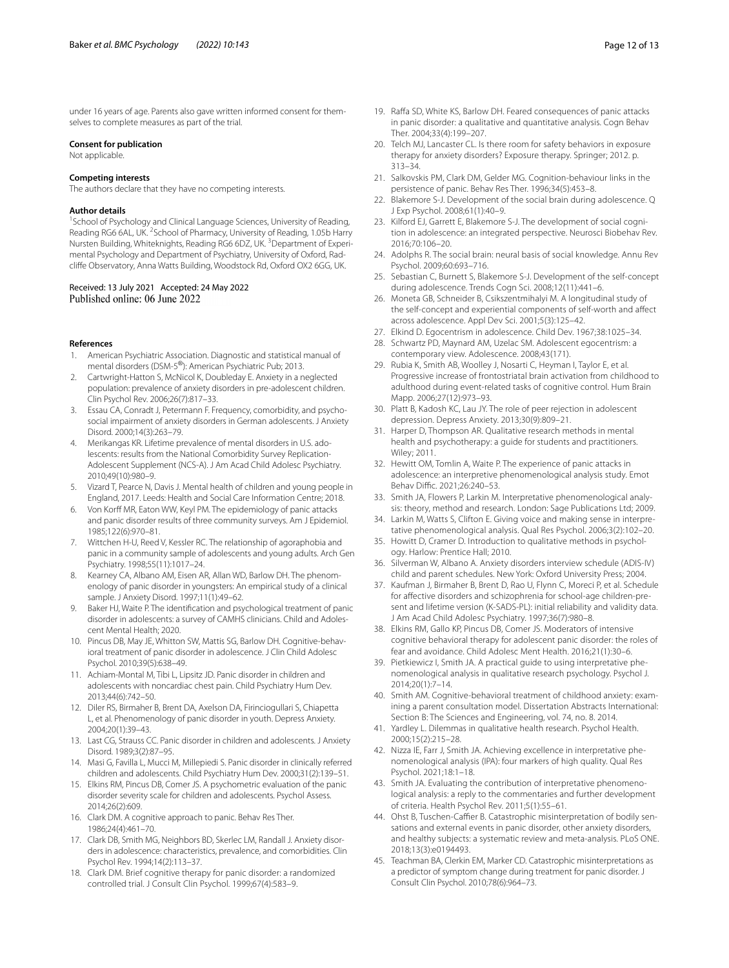under 16 years of age. Parents also gave written informed consent for themselves to complete measures as part of the trial.

#### **Consent for publication**

Not applicable.

#### **Competing interests**

The authors declare that they have no competing interests.

#### **Author details**

<sup>1</sup> School of Psychology and Clinical Language Sciences, University of Reading, Reading RG6 6AL, UK.<sup>2</sup> School of Pharmacy, University of Reading, 1.05b Harry Nursten Building, Whiteknights, Reading RG6 6DZ, UK. <sup>3</sup>Department of Experimental Psychology and Department of Psychiatry, University of Oxford, Radclife Observatory, Anna Watts Building, Woodstock Rd, Oxford OX2 6GG, UK.

## Received: 13 July 2021 Accepted: 24 May 2022 Published online: 06 June 2022

#### **References**

- <span id="page-11-0"></span>1. American Psychiatric Association. Diagnostic and statistical manual of mental disorders (DSM-5®): American Psychiatric Pub; 2013.
- <span id="page-11-1"></span>2. Cartwright-Hatton S, McNicol K, Doubleday E. Anxiety in a neglected population: prevalence of anxiety disorders in pre-adolescent children. Clin Psychol Rev. 2006;26(7):817–33.
- <span id="page-11-2"></span>3. Essau CA, Conradt J, Petermann F. Frequency, comorbidity, and psychosocial impairment of anxiety disorders in German adolescents. J Anxiety Disord. 2000;14(3):263–79.
- 4. Merikangas KR. Lifetime prevalence of mental disorders in U.S. adolescents: results from the National Comorbidity Survey Replication-Adolescent Supplement (NCS-A). J Am Acad Child Adolesc Psychiatry. 2010;49(10):980–9.
- <span id="page-11-3"></span>5. Vizard T, Pearce N, Davis J. Mental health of children and young people in England, 2017. Leeds: Health and Social Care Information Centre; 2018.
- <span id="page-11-4"></span>6. Von Korff MR, Eaton WW, Keyl PM. The epidemiology of panic attacks and panic disorder results of three community surveys. Am J Epidemiol. 1985;122(6):970–81.
- <span id="page-11-5"></span>7. Wittchen H-U, Reed V, Kessler RC. The relationship of agoraphobia and panic in a community sample of adolescents and young adults. Arch Gen Psychiatry. 1998;55(11):1017–24.
- <span id="page-11-6"></span>8. Kearney CA, Albano AM, Eisen AR, Allan WD, Barlow DH. The phenomenology of panic disorder in youngsters: An empirical study of a clinical sample. J Anxiety Disord. 1997;11(1):49–62.
- <span id="page-11-7"></span>9. Baker HJ, Waite P. The identifcation and psychological treatment of panic disorder in adolescents: a survey of CAMHS clinicians. Child and Adolescent Mental Health; 2020.
- <span id="page-11-8"></span>10. Pincus DB, May JE, Whitton SW, Mattis SG, Barlow DH. Cognitive-behavioral treatment of panic disorder in adolescence. J Clin Child Adolesc Psychol. 2010;39(5):638–49.
- <span id="page-11-9"></span>11. Achiam-Montal M, Tibi L, Lipsitz JD. Panic disorder in children and adolescents with noncardiac chest pain. Child Psychiatry Hum Dev. 2013;44(6):742–50.
- <span id="page-11-10"></span>12. Diler RS, Birmaher B, Brent DA, Axelson DA, Firinciogullari S, Chiapetta L, et al. Phenomenology of panic disorder in youth. Depress Anxiety. 2004;20(1):39–43.
- <span id="page-11-11"></span>13. Last CG, Strauss CC. Panic disorder in children and adolescents. J Anxiety Disord. 1989;3(2):87–95.
- <span id="page-11-12"></span>14. Masi G, Favilla L, Mucci M, Millepiedi S. Panic disorder in clinically referred children and adolescents. Child Psychiatry Hum Dev. 2000;31(2):139–51.
- <span id="page-11-13"></span>15. Elkins RM, Pincus DB, Comer JS. A psychometric evaluation of the panic disorder severity scale for children and adolescents. Psychol Assess. 2014;26(2):609.
- <span id="page-11-14"></span>16. Clark DM. A cognitive approach to panic. Behav Res Ther. 1986;24(4):461–70.
- <span id="page-11-41"></span>17. Clark DB, Smith MG, Neighbors BD, Skerlec LM, Randall J. Anxiety disorders in adolescence: characteristics, prevalence, and comorbidities. Clin Psychol Rev. 1994;14(2):113–37.
- <span id="page-11-15"></span>18. Clark DM. Brief cognitive therapy for panic disorder: a randomized controlled trial. J Consult Clin Psychol. 1999;67(4):583–9.
- <span id="page-11-16"></span>19. Raffa SD, White KS, Barlow DH. Feared consequences of panic attacks in panic disorder: a qualitative and quantitative analysis. Cogn Behav Ther. 2004;33(4):199–207.
- <span id="page-11-17"></span>20. Telch MJ, Lancaster CL. Is there room for safety behaviors in exposure therapy for anxiety disorders? Exposure therapy. Springer; 2012. p. 313–34.
- <span id="page-11-18"></span>21. Salkovskis PM, Clark DM, Gelder MG. Cognition-behaviour links in the persistence of panic. Behav Res Ther. 1996;34(5):453–8.
- <span id="page-11-19"></span>22. Blakemore S-J. Development of the social brain during adolescence. Q J Exp Psychol. 2008;61(1):40–9.
- <span id="page-11-20"></span>23. Kilford EJ, Garrett E, Blakemore S-J. The development of social cognition in adolescence: an integrated perspective. Neurosci Biobehav Rev. 2016;70:106–20.
- <span id="page-11-21"></span>24. Adolphs R. The social brain: neural basis of social knowledge. Annu Rev Psychol. 2009;60:693–716.
- <span id="page-11-22"></span>25. Sebastian C, Burnett S, Blakemore S-J. Development of the self-concept during adolescence. Trends Cogn Sci. 2008;12(11):441–6.
- <span id="page-11-23"></span>26. Moneta GB, Schneider B, Csikszentmihalyi M. A longitudinal study of the self-concept and experiential components of self-worth and afect across adolescence. Appl Dev Sci. 2001;5(3):125–42.
- <span id="page-11-24"></span>27. Elkind D. Egocentrism in adolescence. Child Dev. 1967;38:1025–34.
- <span id="page-11-25"></span>28. Schwartz PD, Maynard AM, Uzelac SM. Adolescent egocentrism: a contemporary view. Adolescence. 2008;43(171).
- <span id="page-11-26"></span>29. Rubia K, Smith AB, Woolley J, Nosarti C, Heyman I, Taylor E, et al. Progressive increase of frontostriatal brain activation from childhood to adulthood during event-related tasks of cognitive control. Hum Brain Mapp. 2006;27(12):973–93.
- <span id="page-11-27"></span>30. Platt B, Kadosh KC, Lau JY. The role of peer rejection in adolescent depression. Depress Anxiety. 2013;30(9):809–21.
- <span id="page-11-28"></span>31. Harper D, Thompson AR. Qualitative research methods in mental health and psychotherapy: a guide for students and practitioners. Wiley; 2011.
- <span id="page-11-29"></span>32. Hewitt OM, Tomlin A, Waite P. The experience of panic attacks in adolescence: an interpretive phenomenological analysis study. Emot Behav Diffic. 2021;26:240-53.
- <span id="page-11-30"></span>33. Smith JA, Flowers P, Larkin M. Interpretative phenomenological analysis: theory, method and research. London: Sage Publications Ltd; 2009.
- <span id="page-11-31"></span>34. Larkin M, Watts S, Clifton E. Giving voice and making sense in interpretative phenomenological analysis. Qual Res Psychol. 2006;3(2):102–20.
- <span id="page-11-32"></span>35. Howitt D, Cramer D. Introduction to qualitative methods in psychology. Harlow: Prentice Hall; 2010.
- <span id="page-11-33"></span>36. Silverman W, Albano A. Anxiety disorders interview schedule (ADIS-IV) child and parent schedules. New York: Oxford University Press; 2004.
- <span id="page-11-34"></span>37. Kaufman J, Birmaher B, Brent D, Rao U, Flynn C, Moreci P, et al. Schedule for afective disorders and schizophrenia for school-age children-present and lifetime version (K-SADS-PL): initial reliability and validity data. J Am Acad Child Adolesc Psychiatry. 1997;36(7):980–8.
- <span id="page-11-35"></span>38. Elkins RM, Gallo KP, Pincus DB, Comer JS. Moderators of intensive cognitive behavioral therapy for adolescent panic disorder: the roles of fear and avoidance. Child Adolesc Ment Health. 2016;21(1):30–6.
- <span id="page-11-36"></span>39. Pietkiewicz I, Smith JA. A practical guide to using interpretative phenomenological analysis in qualitative research psychology. Psychol J. 2014;20(1):7–14.
- <span id="page-11-37"></span>40. Smith AM. Cognitive-behavioral treatment of childhood anxiety: examining a parent consultation model. Dissertation Abstracts International: Section B: The Sciences and Engineering, vol. 74, no. 8. 2014.
- <span id="page-11-38"></span>41. Yardley L. Dilemmas in qualitative health research. Psychol Health. 2000;15(2):215–28.
- <span id="page-11-39"></span>42. Nizza IE, Farr J, Smith JA. Achieving excellence in interpretative phenomenological analysis (IPA): four markers of high quality. Qual Res Psychol. 2021;18:1–18.
- <span id="page-11-40"></span>43. Smith JA. Evaluating the contribution of interpretative phenomenological analysis: a reply to the commentaries and further development of criteria. Health Psychol Rev. 2011;5(1):55–61.
- <span id="page-11-42"></span>44. Ohst B, Tuschen-Caffier B. Catastrophic misinterpretation of bodily sensations and external events in panic disorder, other anxiety disorders, and healthy subjects: a systematic review and meta-analysis. PLoS ONE. 2018;13(3):e0194493.
- 45. Teachman BA, Clerkin EM, Marker CD. Catastrophic misinterpretations as a predictor of symptom change during treatment for panic disorder. J Consult Clin Psychol. 2010;78(6):964–73.